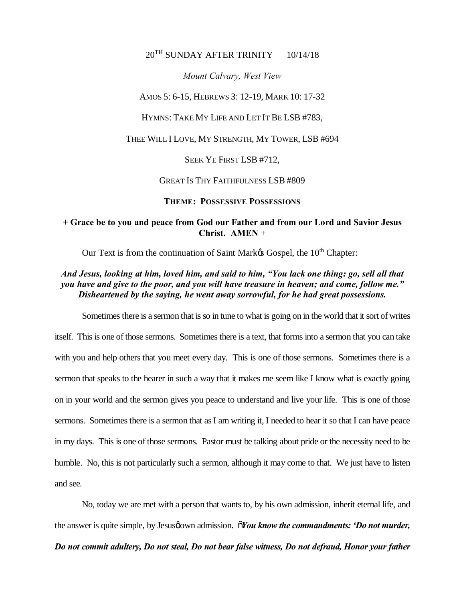## 20<sup>TH</sup> SUNDAY AFTER TRINITY 10/14/18

*Mount Calvary, West View*

AMOS 5: 6-15, HEBREWS 3: 12-19, MARK 10: 17-32

HYMNS: TAKE MY LIFE AND LET IT BE LSB #783,

THEE WILL I LOVE, MY STRENGTH, MY TOWER, LSB #694

SEEK YE FIRST LSB #712,

GREAT IS THY FAITHFULNESS LSB #809

**THEME: POSSESSIVE POSSESSIONS**

## **+ Grace be to you and peace from God our Father and from our Lord and Savior Jesus Christ. AMEN** +

Our Text is from the continuation of Saint Mark $\alpha$  Gospel, the 10<sup>th</sup> Chapter:

*And Jesus, looking at him, loved him, and said to him, "You lack one thing: go, sell all that you have and give to the poor, and you will have treasure in heaven; and come, follow me." Disheartened by the saying, he went away sorrowful, for he had great possessions.*

Sometimes there is a sermon that is so in tune to what is going on in the world that it sort of writes itself. This is one of those sermons. Sometimes there is a text, that forms into a sermon that you can take with you and help others that you meet every day. This is one of those sermons. Sometimes there is a sermon that speaks to the hearer in such a way that it makes me seem like I know what is exactly going on in your world and the sermon gives you peace to understand and live your life. This is one of those sermons. Sometimes there is a sermon that as I am writing it, I needed to hear it so that I can have peace in my days. This is one of those sermons. Pastor must be talking about pride or the necessity need to be humble. No, this is not particularly such a sermon, although it may come to that. We just have to listen and see.

No, today we are met with a person that wants to, by his own admission, inherit eternal life, and the answer is quite simple, by Jesus *joown* admission.  $\tilde{\sigma}$ *You know the commandments: 'Do not murder, Do not commit adultery, Do not steal, Do not bear false witness, Do not defraud, Honor your father*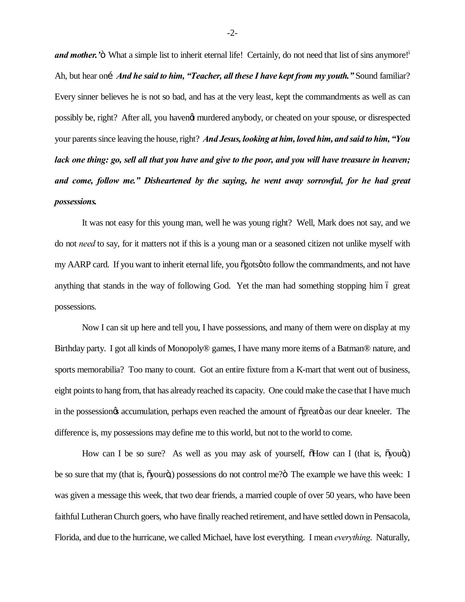*and mother.* '<sup>"</sup> What a simple list to inherit eternal life! Certainly, do not need that list of sins anymore!<sup>1</sup> Ah, but hear on…*And he said to him, "Teacher, all these I have kept from my youth."* Sound familiar? Every sinner believes he is not so bad, and has at the very least, kept the commandments as well as can possibly be, right? After all, you haven't murdered anybody, or cheated on your spouse, or disrespected your parents since leaving the house, right? *And Jesus, looking at him, loved him, and said to him, "You lack one thing: go, sell all that you have and give to the poor, and you will have treasure in heaven; and come, follow me." Disheartened by the saying, he went away sorrowful, for he had great possessions.*

It was not easy for this young man, well he was young right? Well, Mark does not say, and we do not *need* to say, for it matters not if this is a young man or a seasoned citizen not unlike myself with my AARP card. If you want to inherit eternal life, you  $\tilde{\text{c}}$  gots to follow the commandments, and not have anything that stands in the way of following God. Yet the man had something stopping him 6 great possessions.

Now I can sit up here and tell you, I have possessions, and many of them were on display at my Birthday party. I got all kinds of Monopoly® games, I have many more items of a Batman® nature, and sports memorabilia? Too many to count. Got an entire fixture from a K-mart that went out of business, eight points to hang from, that has already reached its capacity. One could make the case that I have much in the possession is accumulation, perhaps even reached the amount of  $\tilde{\alpha}$  greator as our dear kneeler. The difference is, my possessions may define me to this world, but not to the world to come.

How can I be so sure? As well as you may ask of yourself,  $\delta$ How can I (that is,  $\delta$ you $\delta$ ) be so sure that my (that is,  $\tilde{\text{oyour}}$ ) possessions do not control me? $\ddot{\text{o}}$ . The example we have this week: I was given a message this week, that two dear friends, a married couple of over 50 years, who have been faithful Lutheran Church goers, who have finally reached retirement, and have settled down in Pensacola, Florida, and due to the hurricane, we called Michael, have lost everything. I mean *everything*. Naturally,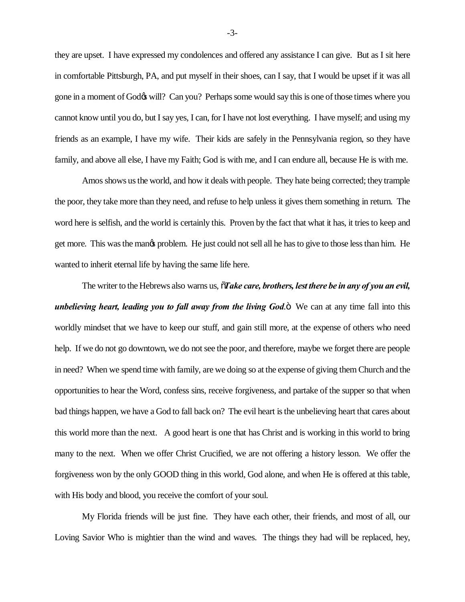they are upset. I have expressed my condolences and offered any assistance I can give. But as I sit here in comfortable Pittsburgh, PA, and put myself in their shoes, can I say, that I would be upset if it was all gone in a moment of God $\alpha$  will? Can you? Perhaps some would say this is one of those times where you cannot know until you do, but I say yes, I can, for I have not lost everything. I have myself; and using my friends as an example, I have my wife. Their kids are safely in the Pennsylvania region, so they have family, and above all else, I have my Faith; God is with me, and I can endure all, because He is with me.

Amos shows us the world, and how it deals with people. They hate being corrected; they trample the poor, they take more than they need, and refuse to help unless it gives them something in return. The word here is selfish, and the world is certainly this. Proven by the fact that what it has, it tries to keep and get more. This was the mangs problem. He just could not sell all he has to give to those less than him. He wanted to inherit eternal life by having the same life here.

The writer to the Hebrews also warns us,  $\tilde{o}$ Take care, brothers, lest there be in any of you an evil, *unbelieving heart, leading you to fall away from the living God.* We can at any time fall into this worldly mindset that we have to keep our stuff, and gain still more, at the expense of others who need help. If we do not go downtown, we do not see the poor, and therefore, maybe we forget there are people in need? When we spend time with family, are we doing so at the expense of giving them Church and the opportunities to hear the Word, confess sins, receive forgiveness, and partake of the supper so that when bad things happen, we have a God to fall back on? The evil heart is the unbelieving heart that cares about this world more than the next. A good heart is one that has Christ and is working in this world to bring many to the next. When we offer Christ Crucified, we are not offering a history lesson. We offer the forgiveness won by the only GOOD thing in this world, God alone, and when He is offered at this table, with His body and blood, you receive the comfort of your soul.

My Florida friends will be just fine. They have each other, their friends, and most of all, our Loving Savior Who is mightier than the wind and waves. The things they had will be replaced, hey,

-3-